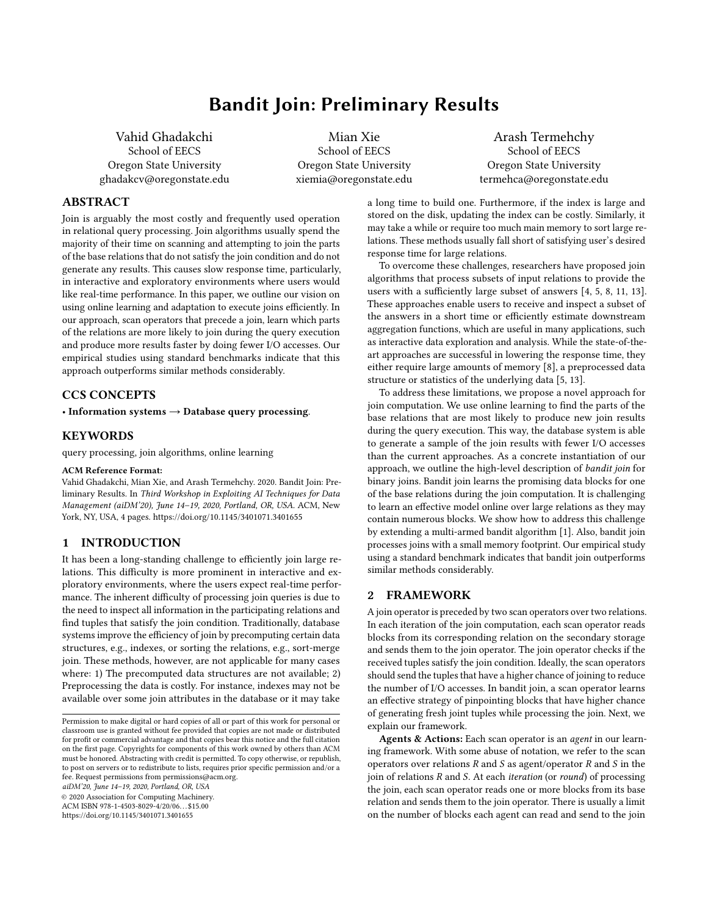# Bandit Join: Preliminary Results

Vahid Ghadakchi School of EECS Oregon State University ghadakcv@oregonstate.edu

Mian Xie School of EECS Oregon State University xiemia@oregonstate.edu

Arash Termehchy School of EECS Oregon State University termehca@oregonstate.edu

# ABSTRACT

Join is arguably the most costly and frequently used operation in relational query processing. Join algorithms usually spend the majority of their time on scanning and attempting to join the parts of the base relations that do not satisfy the join condition and do not generate any results. This causes slow response time, particularly, in interactive and exploratory environments where users would like real-time performance. In this paper, we outline our vision on using online learning and adaptation to execute joins efficiently. In our approach, scan operators that precede a join, learn which parts of the relations are more likely to join during the query execution and produce more results faster by doing fewer I/O accesses. Our empirical studies using standard benchmarks indicate that this approach outperforms similar methods considerably.

# CCS CONCEPTS

• Information systems  $\rightarrow$  Database query processing.

## KEYWORDS

query processing, join algorithms, online learning

#### ACM Reference Format:

Vahid Ghadakchi, Mian Xie, and Arash Termehchy. 2020. Bandit Join: Preliminary Results. In Third Workshop in Exploiting AI Techniques for Data Management (aiDM'20), June 14–19, 2020, Portland, OR, USA. ACM, New York, NY, USA, [4](#page-3-0) pages.<https://doi.org/10.1145/3401071.3401655>

#### 1 INTRODUCTION

It has been a long-standing challenge to efficiently join large relations. This difficulty is more prominent in interactive and exploratory environments, where the users expect real-time performance. The inherent difficulty of processing join queries is due to the need to inspect all information in the participating relations and find tuples that satisfy the join condition. Traditionally, database systems improve the efficiency of join by precomputing certain data structures, e.g., indexes, or sorting the relations, e.g., sort-merge join. These methods, however, are not applicable for many cases where: 1) The precomputed data structures are not available; 2) Preprocessing the data is costly. For instance, indexes may not be available over some join attributes in the database or it may take

aiDM'20, June 14–19, 2020, Portland, OR, USA

© 2020 Association for Computing Machinery.

ACM ISBN 978-1-4503-8029-4/20/06. . . \$15.00

<https://doi.org/10.1145/3401071.3401655>

a long time to build one. Furthermore, if the index is large and stored on the disk, updating the index can be costly. Similarly, it may take a while or require too much main memory to sort large relations. These methods usually fall short of satisfying user's desired response time for large relations.

To overcome these challenges, researchers have proposed join algorithms that process subsets of input relations to provide the users with a sufficiently large subset of answers [\[4,](#page-3-1) [5,](#page-3-2) [8,](#page-3-3) [11,](#page-3-4) [13\]](#page-3-5). These approaches enable users to receive and inspect a subset of the answers in a short time or efficiently estimate downstream aggregation functions, which are useful in many applications, such as interactive data exploration and analysis. While the state-of-theart approaches are successful in lowering the response time, they either require large amounts of memory [\[8\]](#page-3-3), a preprocessed data structure or statistics of the underlying data [\[5,](#page-3-2) [13\]](#page-3-5).

To address these limitations, we propose a novel approach for join computation. We use online learning to find the parts of the base relations that are most likely to produce new join results during the query execution. This way, the database system is able to generate a sample of the join results with fewer I/O accesses than the current approaches. As a concrete instantiation of our approach, we outline the high-level description of bandit join for binary joins. Bandit join learns the promising data blocks for one of the base relations during the join computation. It is challenging to learn an effective model online over large relations as they may contain numerous blocks. We show how to address this challenge by extending a multi-armed bandit algorithm [\[1\]](#page-3-6). Also, bandit join processes joins with a small memory footprint. Our empirical study using a standard benchmark indicates that bandit join outperforms similar methods considerably.

## 2 FRAMEWORK

A join operator is preceded by two scan operators over two relations. In each iteration of the join computation, each scan operator reads blocks from its corresponding relation on the secondary storage and sends them to the join operator. The join operator checks if the received tuples satisfy the join condition. Ideally, the scan operators should send the tuples that have a higher chance of joining to reduce the number of I/O accesses. In bandit join, a scan operator learns an effective strategy of pinpointing blocks that have higher chance of generating fresh joint tuples while processing the join. Next, we explain our framework.

Agents & Actions: Each scan operator is an agent in our learning framework. With some abuse of notation, we refer to the scan operators over relations  $R$  and  $S$  as agent/operator  $R$  and  $S$  in the join of relations  $R$  and  $S$ . At each *iteration* (or *round*) of processing the join, each scan operator reads one or more blocks from its base relation and sends them to the join operator. There is usually a limit on the number of blocks each agent can read and send to the join

Permission to make digital or hard copies of all or part of this work for personal or classroom use is granted without fee provided that copies are not made or distributed for profit or commercial advantage and that copies bear this notice and the full citation on the first page. Copyrights for components of this work owned by others than ACM must be honored. Abstracting with credit is permitted. To copy otherwise, or republish, to post on servers or to redistribute to lists, requires prior specific permission and/or a fee. Request permissions from permissions@acm.org.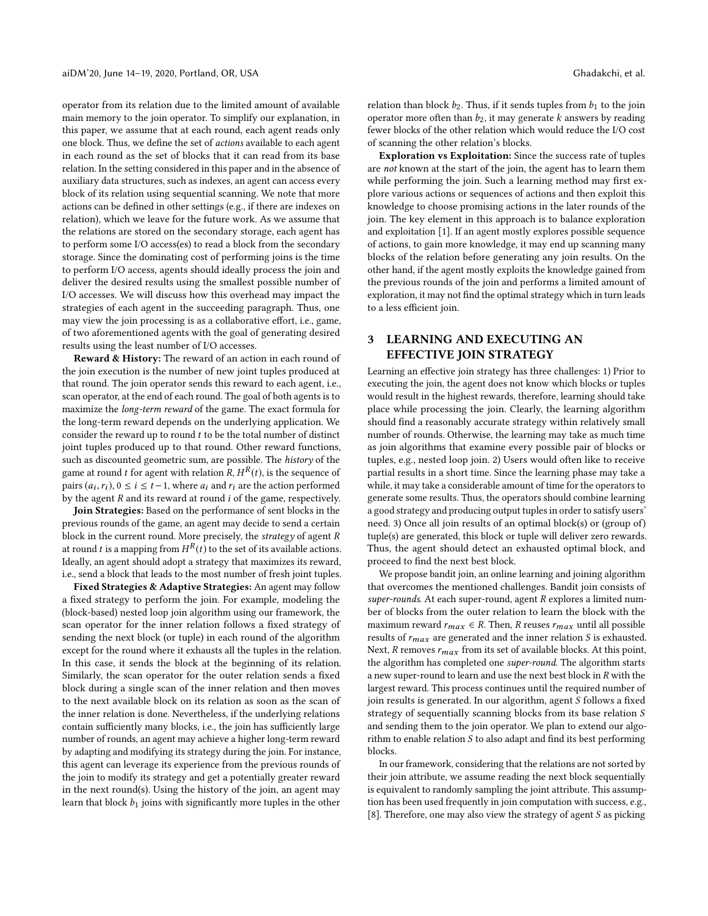operator from its relation due to the limited amount of available main memory to the join operator. To simplify our explanation, in this paper, we assume that at each round, each agent reads only one block. Thus, we define the set of actions available to each agent in each round as the set of blocks that it can read from its base relation. In the setting considered in this paper and in the absence of auxiliary data structures, such as indexes, an agent can access every block of its relation using sequential scanning. We note that more actions can be defined in other settings (e.g., if there are indexes on relation), which we leave for the future work. As we assume that the relations are stored on the secondary storage, each agent has to perform some I/O access(es) to read a block from the secondary storage. Since the dominating cost of performing joins is the time to perform I/O access, agents should ideally process the join and deliver the desired results using the smallest possible number of I/O accesses. We will discuss how this overhead may impact the strategies of each agent in the succeeding paragraph. Thus, one may view the join processing is as a collaborative effort, i.e., game, of two aforementioned agents with the goal of generating desired results using the least number of I/O accesses.

Reward & History: The reward of an action in each round of the join execution is the number of new joint tuples produced at that round. The join operator sends this reward to each agent, i.e., scan operator, at the end of each round. The goal of both agents is to maximize the long-term reward of the game. The exact formula for the long-term reward depends on the underlying application. We consider the reward up to round  $t$  to be the total number of distinct joint tuples produced up to that round. Other reward functions, such as discounted geometric sum, are possible. The history of the game at round  $t$  for agent with relation  $R, H^R(t)$ , is the sequence of pairs  $(a_i, r_i)$ ,  $0 \le i \le t-1$ , where  $a_i$  and  $r_i$  are the action performed<br>by the agent  $R$  and its reward at round i of the game, respectively. by the agent  $R$  and its reward at round  $i$  of the game, respectively.

Join Strategies: Based on the performance of sent blocks in the previous rounds of the game, an agent may decide to send a certain block in the current round. More precisely, the strategy of agent R at round  $t$  is a mapping from  $H^R(t)$  to the set of its available actions. Ideally, an agent should adopt a strategy that maximizes its reward, i.e., send a block that leads to the most number of fresh joint tuples.

Fixed Strategies & Adaptive Strategies: An agent may follow a fixed strategy to perform the join. For example, modeling the (block-based) nested loop join algorithm using our framework, the scan operator for the inner relation follows a fixed strategy of sending the next block (or tuple) in each round of the algorithm except for the round where it exhausts all the tuples in the relation. In this case, it sends the block at the beginning of its relation. Similarly, the scan operator for the outer relation sends a fixed block during a single scan of the inner relation and then moves to the next available block on its relation as soon as the scan of the inner relation is done. Nevertheless, if the underlying relations contain sufficiently many blocks, i.e., the join has sufficiently large number of rounds, an agent may achieve a higher long-term reward by adapting and modifying its strategy during the join. For instance, this agent can leverage its experience from the previous rounds of the join to modify its strategy and get a potentially greater reward in the next round(s). Using the history of the join, an agent may learn that block  $b_1$  joins with significantly more tuples in the other

relation than block  $b_2$ . Thus, if it sends tuples from  $b_1$  to the join operator more often than  $b_2$ , it may generate k answers by reading fewer blocks of the other relation which would reduce the I/O cost of scanning the other relation's blocks.

Exploration vs Exploitation: Since the success rate of tuples are not known at the start of the join, the agent has to learn them while performing the join. Such a learning method may first explore various actions or sequences of actions and then exploit this knowledge to choose promising actions in the later rounds of the join. The key element in this approach is to balance exploration and exploitation [\[1\]](#page-3-6). If an agent mostly explores possible sequence of actions, to gain more knowledge, it may end up scanning many blocks of the relation before generating any join results. On the other hand, if the agent mostly exploits the knowledge gained from the previous rounds of the join and performs a limited amount of exploration, it may not find the optimal strategy which in turn leads to a less efficient join.

# 3 LEARNING AND EXECUTING AN EFFECTIVE JOIN STRATEGY

Learning an effective join strategy has three challenges: 1) Prior to executing the join, the agent does not know which blocks or tuples would result in the highest rewards, therefore, learning should take place while processing the join. Clearly, the learning algorithm should find a reasonably accurate strategy within relatively small number of rounds. Otherwise, the learning may take as much time as join algorithms that examine every possible pair of blocks or tuples, e.g., nested loop join. 2) Users would often like to receive partial results in a short time. Since the learning phase may take a while, it may take a considerable amount of time for the operators to generate some results. Thus, the operators should combine learning a good strategy and producing output tuples in order to satisfy users' need. 3) Once all join results of an optimal block(s) or (group of) tuple(s) are generated, this block or tuple will deliver zero rewards. Thus, the agent should detect an exhausted optimal block, and proceed to find the next best block.

We propose bandit join, an online learning and joining algorithm that overcomes the mentioned challenges. Bandit join consists of super-rounds. At each super-round, agent R explores a limited number of blocks from the outer relation to learn the block with the maximum reward  $r_{max} \in R$ . Then, R reuses  $r_{max}$  until all possible results of  $r_{max}$  are generated and the inner relation S is exhausted. Next,  $R$  removes  $r_{max}$  from its set of available blocks. At this point, the algorithm has completed one super-round. The algorithm starts a new super-round to learn and use the next best block in R with the largest reward. This process continues until the required number of join results is generated. In our algorithm, agent S follows a fixed strategy of sequentially scanning blocks from its base relation S and sending them to the join operator. We plan to extend our algorithm to enable relation S to also adapt and find its best performing blocks.

In our framework, considering that the relations are not sorted by their join attribute, we assume reading the next block sequentially is equivalent to randomly sampling the joint attribute. This assumption has been used frequently in join computation with success, e.g., [\[8\]](#page-3-3). Therefore, one may also view the strategy of agent S as picking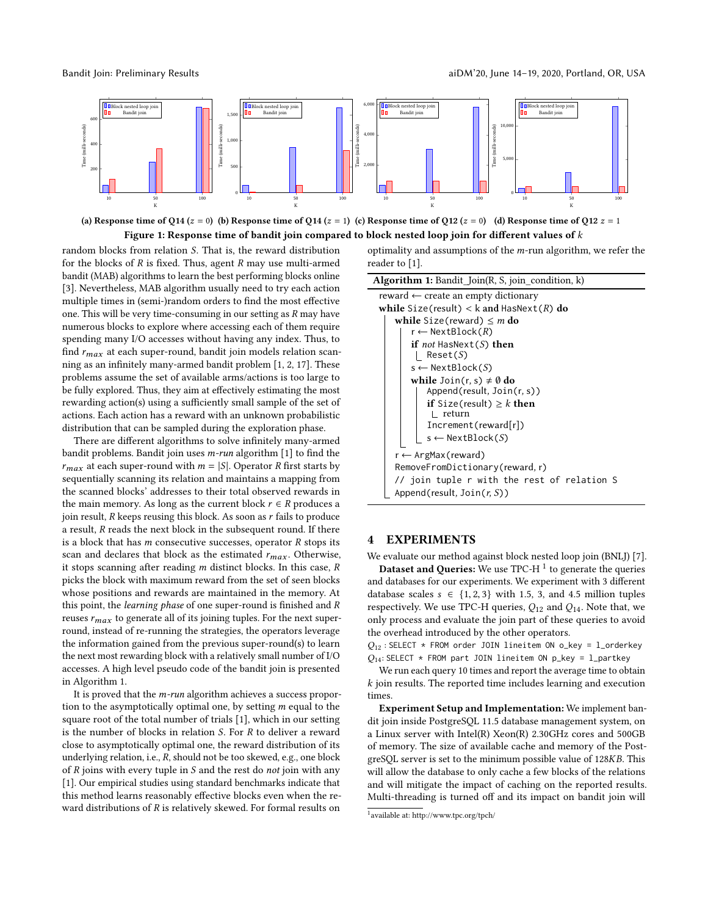<span id="page-2-2"></span>

(a) Response time of Q14 (z = 0) (b) Response time of Q14 (z = 1) (c) Response time of Q12 (z = 0) (d) Response time of Q12  $z$  = 1 Figure 1: Response time of bandit join compared to block nested loop join for different values of k

random blocks from relation S. That is, the reward distribution for the blocks of  $R$  is fixed. Thus, agent  $R$  may use multi-armed bandit (MAB) algorithms to learn the best performing blocks online [\[3\]](#page-3-7). Nevertheless, MAB algorithm usually need to try each action multiple times in (semi-)random orders to find the most effective one. This will be very time-consuming in our setting as R may have numerous blocks to explore where accessing each of them require spending many I/O accesses without having any index. Thus, to find  $r_{max}$  at each super-round, bandit join models relation scanning as an infinitely many-armed bandit problem [\[1,](#page-3-6) [2,](#page-3-8) [17\]](#page-3-9). These problems assume the set of available arms/actions is too large to be fully explored. Thus, they aim at effectively estimating the most rewarding action(s) using a sufficiently small sample of the set of actions. Each action has a reward with an unknown probabilistic distribution that can be sampled during the exploration phase.

There are different algorithms to solve infinitely many-armed bandit problems. Bandit join uses m-run algorithm [\[1\]](#page-3-6) to find the  $r_{max}$  at each super-round with  $m = |S|$ . Operator R first starts by sequentially scanning its relation and maintains a mapping from the scanned blocks' addresses to their total observed rewards in the main memory. As long as the current block  $r \in R$  produces a join result,  $R$  keeps reusing this block. As soon as  $r$  fails to produce a result, R reads the next block in the subsequent round. If there is a block that has  $m$  consecutive successes, operator  $R$  stops its scan and declares that block as the estimated  $r_{max}$ . Otherwise, it stops scanning after reading  $m$  distinct blocks. In this case,  $R$ picks the block with maximum reward from the set of seen blocks whose positions and rewards are maintained in the memory. At this point, the learning phase of one super-round is finished and R reuses  $r_{max}$  to generate all of its joining tuples. For the next superround, instead of re-running the strategies, the operators leverage the information gained from the previous super-round(s) to learn the next most rewarding block with a relatively small number of I/O accesses. A high level pseudo code of the bandit join is presented in Algorithm [1.](#page-2-0)

It is proved that the  $m$ -run algorithm achieves a success proportion to the asymptotically optimal one, by setting  $m$  equal to the square root of the total number of trials [\[1\]](#page-3-6), which in our setting is the number of blocks in relation S. For R to deliver a reward close to asymptotically optimal one, the reward distribution of its underlying relation, i.e., R, should not be too skewed, e.g., one block of  $R$  joins with every tuple in  $S$  and the rest do *not* join with any [\[1\]](#page-3-6). Our empirical studies using standard benchmarks indicate that this method learns reasonably effective blocks even when the reward distributions of  $R$  is relatively skewed. For formal results on

optimality and assumptions of the  $m$ -run algorithm, we refer the reader to [\[1\]](#page-3-6).

| <b>Algorithm 1:</b> Bandit_Join(R, S, join_condition, k)            |
|---------------------------------------------------------------------|
| reward $\leftarrow$ create an empty dictionary                      |
| while Size(result) < k and $\text{HasNext}(R)$ do                   |
| while Size(reward) $\leq m$ do<br>r ← NextBlock( <i>R</i> )         |
| if <i>not</i> HasNext( $S$ ) then<br>Reset(S)                       |
| $s \leftarrow$ NextBlock(S)<br>while $Join(r, s) \neq \emptyset$ do |
| Append(result, Join(r, s))                                          |
| <b>if</b> Size(result) $\geq k$ then<br>return                      |
| Increment(reward[r])                                                |
| $s \leftarrow$ NextBlock(S)                                         |
| r ← ArgMax(reward)                                                  |
| RemoveFromDictionary(reward, r)                                     |
| // join tuple r with the rest of relation S                         |
| Append(result, $Join(r, S)$ )                                       |

# <span id="page-2-0"></span>4 EXPERIMENTS

We evaluate our method against block nested loop join (BNLJ) [\[7\]](#page-3-10).

**Dataset and Queries:** We use TPC-H  $^1$  $^1$  to generate the queries and databases for our experiments. We experiment with 3 different database scales  $s \in \{1, 2, 3\}$  with 1.5, 3, and 4.5 million tuples respectively. We use TPC-H queries,  $Q_{12}$  and  $Q_{14}$ . Note that, we only process and evaluate the join part of these queries to avoid the overhead introduced by the other operators.

 $Q_{12}$ : SELECT \* FROM order JOIN lineitem ON o\_key = l\_orderkey  $Q_{14}$ : SELECT \* FROM part JOIN lineitem ON p\_key = l\_partkey

We run each query 10 times and report the average time to obtain k join results. The reported time includes learning and execution times.

Experiment Setup and Implementation: We implement bandit join inside PostgreSQL 11.5 database management system, on a Linux server with Intel(R) Xeon(R) 2.30GHz cores and 500GB of memory. The size of available cache and memory of the PostgreSQL server is set to the minimum possible value of 128KB. This will allow the database to only cache a few blocks of the relations and will mitigate the impact of caching on the reported results. Multi-threading is turned off and its impact on bandit join will

<span id="page-2-1"></span><sup>1</sup> available at:<http://www.tpc.org/tpch/>